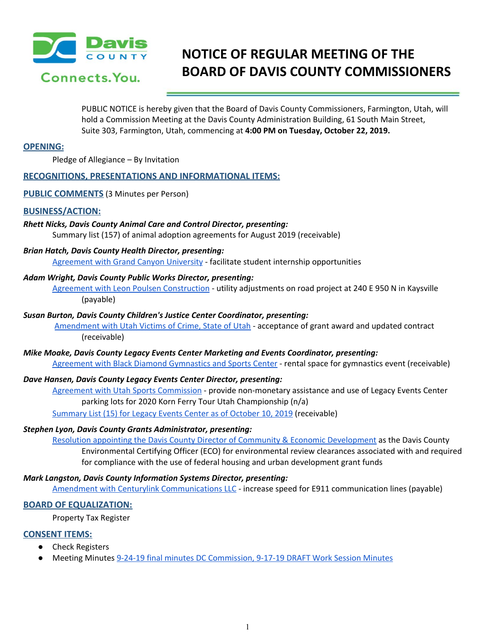

# **NOTICE OF REGULAR MEETING OF THE BOARD OF DAVIS COUNTY COMMISSIONERS**

PUBLIC NOTICE is hereby given that the Board of Davis County Commissioners, Farmington, Utah, will hold a Commission Meeting at the Davis County Administration Building, 61 South Main Street, Suite 303, Farmington, Utah, commencing at **4:00 PM on Tuesday, October 22, 2019.**

# **OPENING:**

Pledge of Allegiance – By Invitation

# **RECOGNITIONS, PRESENTATIONS AND INFORMATIONAL ITEMS:**

**PUBLIC COMMENTS** (3 Minutes per Person)

#### **BUSINESS/ACTION:**

# *Rhett Nicks, Davis County Animal Care and Control Director, presenting:*

Summary list (157) of animal adoption agreements for August 2019 (receivable)

#### *Brian Hatch, Davis County Health Director, presenting:*

[Agreement](https://drive.google.com/a/co.davis.ut.us/file/d/1kOAoN19iNZ7Eok-ex4K9xLH_qW5rXohL/view?usp=drivesdk) with Grand Canyon University - facilitate student internship opportunities

# *Adam Wright, Davis County Public Works Director, presenting:*

Agreement with Leon Poulsen [Construction](https://drive.google.com/a/co.davis.ut.us/file/d/1pZ1Edf1u4yeWL5oF0wFPfqG6FHdf5fSL/view?usp=drivesdk) - utility adjustments on road project at 240 E 950 N in Kaysville (payable)

#### *Susan Burton, Davis County Children's Justice Center Coordinator, presenting:*

[Amendment](https://drive.google.com/a/co.davis.ut.us/file/d/1NMgJshP7dA9YU8TQ-IvGtA1jO5Ao-il7/view?usp=drivesdk) with Utah Victims of Crime, State of Utah - acceptance of grant award and updated contract (receivable)

# *Mike Moake, Davis County Legacy Events Center Marketing and Events Coordinator, presenting:* Agreement with Black Diamond [Gymnastics](https://drive.google.com/a/co.davis.ut.us/file/d/1XfOctaVAaHgF5cJ7CCdswsYgSDKbfMis/view?usp=drivesdk) and Sports Center - rental space for gymnastics event (receivable)

#### *Dave Hansen, Davis County Legacy Events Center Director, presenting:*

Agreement with Utah Sports [Commission](https://drive.google.com/a/co.davis.ut.us/file/d/1VDKwQqety8HWhGk01uSeN4Mlms59n_aa/view?usp=drivesdk) - provide non-monetary assistance and use of Legacy Events Center parking lots for 2020 Korn Ferry Tour Utah Championship (n/a)

[Summary](https://drive.google.com/a/co.davis.ut.us/file/d/1a8Xl8M8Y3NBP4qYZa_fO60TI7zMRnzIZ/view?usp=drivesdk) List (15) for Legacy Events Center as of October 10, 2019 (receivable)

#### *Stephen Lyon, Davis County Grants Administrator, presenting:*

Resolution appointing the Davis County Director of Community & Economic [Development](https://drive.google.com/a/co.davis.ut.us/file/d/10ooJugp4-F5d3J09g-oO_xlF6hh_N9QD/view?usp=drivesdk) as the Davis [County](https://drive.google.com/a/co.davis.ut.us/file/d/10ooJugp4-F5d3J09g-oO_xlF6hh_N9QD/view?usp=drivesdk) Environmental Certifying Officer (ECO) for [environmental](https://drive.google.com/a/co.davis.ut.us/file/d/10ooJugp4-F5d3J09g-oO_xlF6hh_N9QD/view?usp=drivesdk) review clearances associated with and required for compliance with the use of federal housing and urban [development](https://drive.google.com/a/co.davis.ut.us/file/d/10ooJugp4-F5d3J09g-oO_xlF6hh_N9QD/view?usp=drivesdk) grant funds

#### *Mark Langston, Davis County Information Systems Director, presenting:*

Amendment with Centurylink [Communications](https://drive.google.com/a/co.davis.ut.us/file/d/1YqrBS0VhFmUeDfSSD3fEUzOGYIo2iccA/view?usp=drivesdk) LLC - increase speed for E911 communication lines (payable)

#### **BOARD OF EQUALIZATION:**

Property Tax Register

# **CONSENT ITEMS:**

- **Check Registers**
- Meeting Minutes 9-24-19 final minutes DC [Commission](https://drive.google.com/a/co.davis.ut.us/file/d/1hTLobr-MANWz_nxIBWIVmDARWuDdmGfZ/view?usp=drivesdk), 9-17-19 DRAFT Work Session [Minutes](https://drive.google.com/a/co.davis.ut.us/file/d/14tnidKCllqR_ZD0BTocH44vJLWRV7Gsk/view?usp=drivesdk)